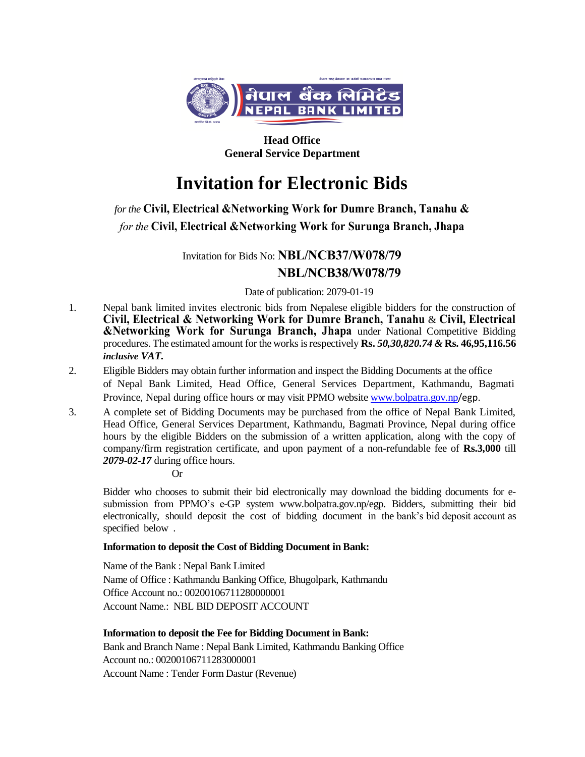

**Head Office General Service Department**

# **Invitation for Electronic Bids**

# *for the* **Civil, Electrical &Networking Work for Dumre Branch, Tanahu &** *for the* **Civil, Electrical &Networking Work for Surunga Branch, Jhapa**

Invitation for Bids No: **NBL/NCB37/W078/79**

## **NBL/NCB38/W078/79**

Date of publication: 2079-01-19

- 1. Nepal bank limited invites electronic bids from Nepalese eligible bidders for the construction of **Civil, Electrical & Networking Work for Dumre Branch, Tanahu** & **Civil, Electrical &Networking Work for Surunga Branch, Jhapa** under National Competitive Bidding procedures. The estimated amount for the works is respectively **Rs.** *50,30,820.74 &* **Rs. 46,95,116.56** *inclusive VAT.*
- 2. Eligible Bidders may obtain further information and inspect the Bidding Documents at the office of Nepal Bank Limited, Head Office, General Services Department, Kathmandu, Bagmati Province, Nepal during office hours or may visit PPMO website [www.bolpatra.gov.np](http://www.bolpatra.gov.np/)/egp.
- 3. A complete set of Bidding Documents may be purchased from the office of Nepal Bank Limited, Head Office, General Services Department, Kathmandu, Bagmati Province, Nepal during office hours by the eligible Bidders on the submission of a written application, along with the copy of company/firm registration certificate, and upon payment of a non-refundable fee of **Rs.3,000** till *2079-02-17* during office hours.

Or

Bidder who chooses to submit their bid electronically may download the bidding documents for esubmission from PPMO's e-GP system www.bolpatra.gov.np/egp. Bidders, submitting their bid electronically, should deposit the cost of bidding document in the bank's bid deposit account as specified below .

### **Information to deposit the Cost of Bidding Document in Bank:**

Name of the Bank : Nepal Bank Limited Name of Office : Kathmandu Banking Office, Bhugolpark, Kathmandu Office Account no.: 00200106711280000001 Account Name.: NBL BID DEPOSIT ACCOUNT

### **Information to deposit the Fee for Bidding Document in Bank:**

Bank and Branch Name : Nepal Bank Limited, Kathmandu Banking Office Account no.: 00200106711283000001 Account Name : Tender Form Dastur (Revenue)